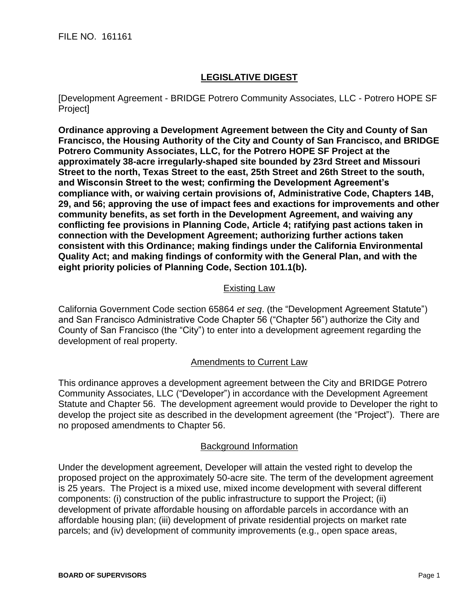FILE NO. 161161

## **LEGISLATIVE DIGEST**

[Development Agreement - BRIDGE Potrero Community Associates, LLC - Potrero HOPE SF Project]

**Ordinance approving a Development Agreement between the City and County of San Francisco, the Housing Authority of the City and County of San Francisco, and BRIDGE Potrero Community Associates, LLC, for the Potrero HOPE SF Project at the approximately 38-acre irregularly-shaped site bounded by 23rd Street and Missouri Street to the north, Texas Street to the east, 25th Street and 26th Street to the south, and Wisconsin Street to the west; confirming the Development Agreement's compliance with, or waiving certain provisions of, Administrative Code, Chapters 14B, 29, and 56; approving the use of impact fees and exactions for improvements and other community benefits, as set forth in the Development Agreement, and waiving any conflicting fee provisions in Planning Code, Article 4; ratifying past actions taken in connection with the Development Agreement; authorizing further actions taken consistent with this Ordinance; making findings under the California Environmental Quality Act; and making findings of conformity with the General Plan, and with the eight priority policies of Planning Code, Section 101.1(b).**

## Existing Law

California Government Code section 65864 *et seq*. (the "Development Agreement Statute") and San Francisco Administrative Code Chapter 56 ("Chapter 56") authorize the City and County of San Francisco (the "City") to enter into a development agreement regarding the development of real property.

## Amendments to Current Law

This ordinance approves a development agreement between the City and BRIDGE Potrero Community Associates, LLC ("Developer") in accordance with the Development Agreement Statute and Chapter 56. The development agreement would provide to Developer the right to develop the project site as described in the development agreement (the "Project"). There are no proposed amendments to Chapter 56.

## Background Information

Under the development agreement, Developer will attain the vested right to develop the proposed project on the approximately 50-acre site. The term of the development agreement is 25 years. The Project is a mixed use, mixed income development with several different components: (i) construction of the public infrastructure to support the Project; (ii) development of private affordable housing on affordable parcels in accordance with an affordable housing plan; (iii) development of private residential projects on market rate parcels; and (iv) development of community improvements (e.g., open space areas,